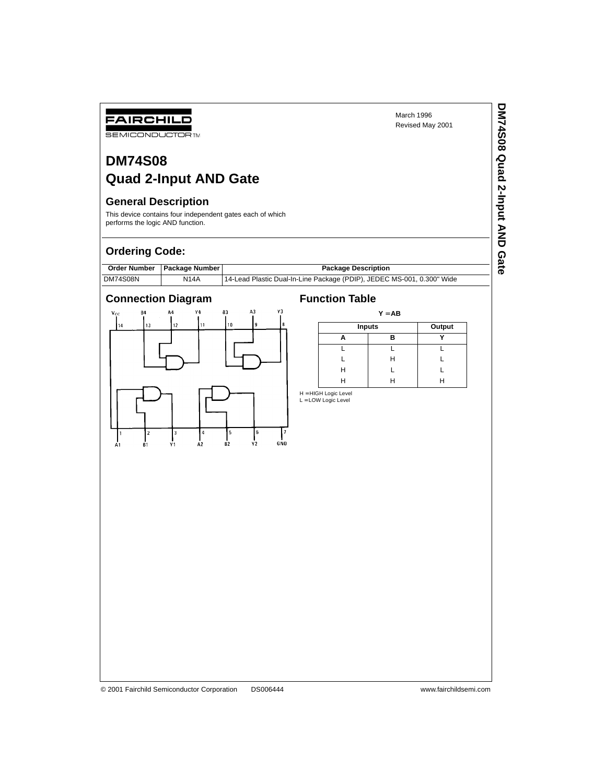**DM74S08 Quad 2-Input AND Gate**

DM74S08 Quad 2-Input AND Gate

# **DM74S08 Quad 2-Input AND Gate**

## **General Description**

FAIRCHILD **SEMICONDUCTOR TM** 

This device contains four independent gates each of which performs the logic AND function.

# **Ordering Code:**

|          | Order Number   Package Number | <b>Package Description</b>                                             |
|----------|-------------------------------|------------------------------------------------------------------------|
| DM74S08N | N14A                          | 14-Lead Plastic Dual-In-Line Package (PDIP), JEDEC MS-001, 0.300" Wide |





| $Y = AB$ |               |   |  |  |  |
|----------|---------------|---|--|--|--|
|          | <b>Inputs</b> |   |  |  |  |
|          | R             |   |  |  |  |
|          |               |   |  |  |  |
|          | н             |   |  |  |  |
| н        |               |   |  |  |  |
| н        |               | н |  |  |  |

H = HIGH Logic Level<br>L = LOW Logic Level

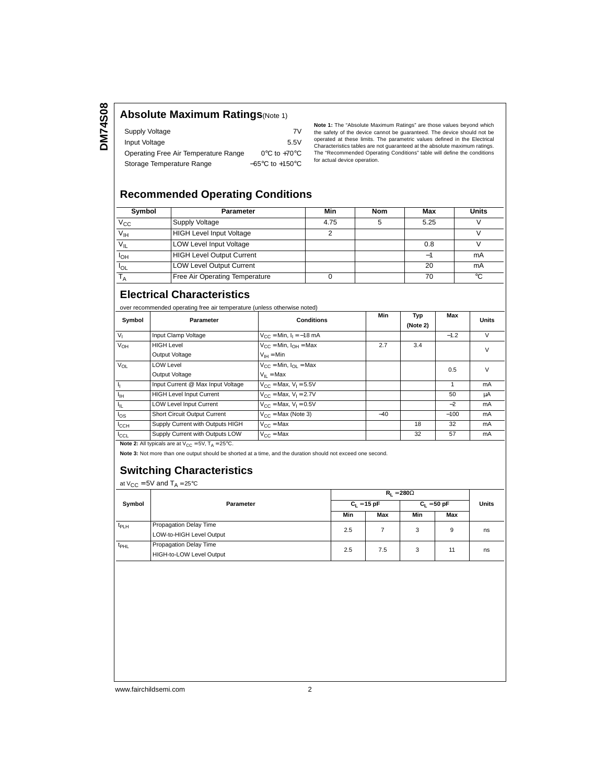#### **Absolute Maximum Ratings**(Note 1)

| Supply Voltage                       | 7V                                  |
|--------------------------------------|-------------------------------------|
| Input Voltage                        | 5.5V                                |
| Operating Free Air Temperature Range | $0^{\circ}$ C to +70 $^{\circ}$ C   |
| Storage Temperature Range            | $-65^{\circ}$ C to $+150^{\circ}$ C |

**Note 1:** The "Absolute Maximum Ratings" are those values beyond which the safety of the device cannot be guaranteed. The device should not be operated at these limits. The parametric values defined in the Electrical Characteristics tables are not guaranteed at the absolute maximum ratings. The "Recommended Operating Conditions" table will define the conditions for actual device operation.

# **Recommended Operating Conditions**

| Symbol          | <b>Parameter</b>                 | Min  | Nom | Max  | <b>Units</b> |
|-----------------|----------------------------------|------|-----|------|--------------|
| $V_{\rm CC}$    | Supply Voltage                   | 4.75 |     | 5.25 |              |
| V <sub>IH</sub> | <b>HIGH Level Input Voltage</b>  |      |     |      |              |
| $V_{\parallel}$ | <b>LOW Level Input Voltage</b>   |      |     | 0.8  |              |
| <b>I</b> OH     | <b>HIGH Level Output Current</b> |      |     | ÷    | mA           |
| <b>IOL</b>      | <b>LOW Level Output Current</b>  |      |     | 20   | mA           |
|                 | Free Air Operating Temperature   |      |     | 70   | °C           |

#### **Electrical Characteristics**

over recommended operating free air temperature (unless otherwise noted)

| Symbol           | Parameter                         | <b>Conditions</b>                            | Min   | Typ<br>(Note 2) | Max    | <b>Units</b> |
|------------------|-----------------------------------|----------------------------------------------|-------|-----------------|--------|--------------|
| $V_{I}$          | Input Clamp Voltage               | $V_{CC}$ = Min, $I_1$ = -18 mA               |       |                 | $-1.2$ | $\vee$       |
| V <sub>OH</sub>  | <b>HIGH Level</b>                 | $V_{CC}$ = Min, $I_{OH}$ = Max               | 2.7   | 3.4             |        | $\vee$       |
|                  | Output Voltage                    | $V_{IH} = Min$                               |       |                 |        |              |
| $V_{OL}$         | <b>LOW Level</b>                  | $V_{CC}$ = Min, $I_{CI}$ = Max               |       |                 | 0.5    | $\vee$       |
|                  | Output Voltage                    | $V_{II}$ = Max                               |       |                 |        |              |
| ł,               | Input Current @ Max Input Voltage | $V_{CC}$ = Max, $V_1$ = 5.5V                 |       |                 |        | mA           |
| ŀн               | <b>HIGH Level Input Current</b>   | $V_{CC}$ = Max, $V_1$ = 2.7V                 |       |                 | 50     | μA           |
| ŀμ               | <b>LOW Level Input Current</b>    | $V_{\text{CC}}$ = Max, $V_{\text{I}}$ = 0.5V |       |                 | $-2$   | mA           |
| $I_{OS}$         | Short Circuit Output Current      | $V_{CC}$ = Max (Note 3)                      | $-40$ |                 | $-100$ | mA           |
| $I_{\text{CCH}}$ | Supply Current with Outputs HIGH  | $V_{C}$ = Max                                |       | 18              | 32     | mA           |
| $I_{CCL}$        | Supply Current with Outputs LOW   | $V_{C} = Max$                                |       | 32              | 57     | mA           |
|                  |                                   |                                              |       |                 |        |              |

**Note 2:** All typicals are at  $V_{CC} = 5V$ ,  $T_A = 25^{\circ}C$ .

**Note 3:** Not more than one output should be shorted at a time, and the duration should not exceed one second.

### **Switching Characteristics**

at  $V_{CC} = 5V$  and  $T_A = 25°C$ 

|                  | Parameter                                          | $R_1 = 280\Omega$ |     |               |     |       |
|------------------|----------------------------------------------------|-------------------|-----|---------------|-----|-------|
| Symbol           |                                                    | $C_L = 15$ pF     |     | $C_1 = 50$ pF |     | Units |
|                  |                                                    | Min               | Max | Min           | Max |       |
| t <sub>PLH</sub> | Propagation Delay Time<br>LOW-to-HIGH Level Output | 2.5               |     | 3             | 9   | ns    |
| <sup>t</sup> PHL | Propagation Delay Time<br>HIGH-to-LOW Level Output | 2.5               | 7.5 | 3             | 11  | ns    |